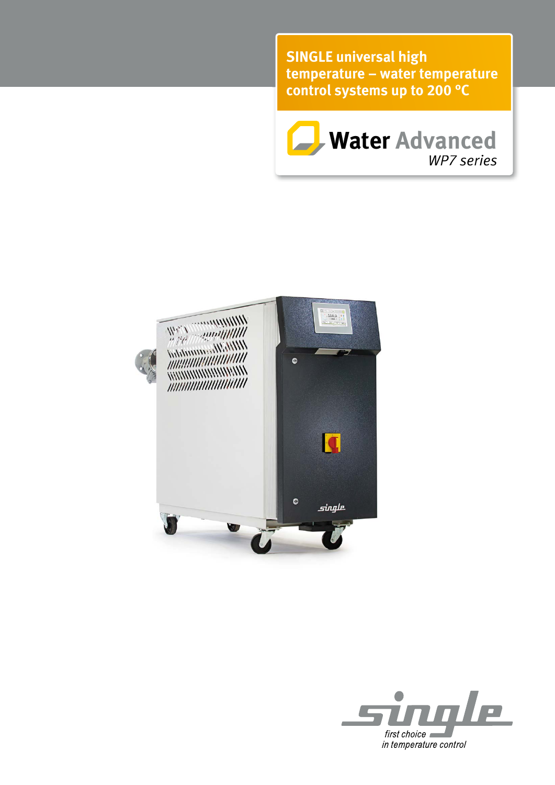**SINGLE universal high temp erature – water temperature control systems up to 200 °C**





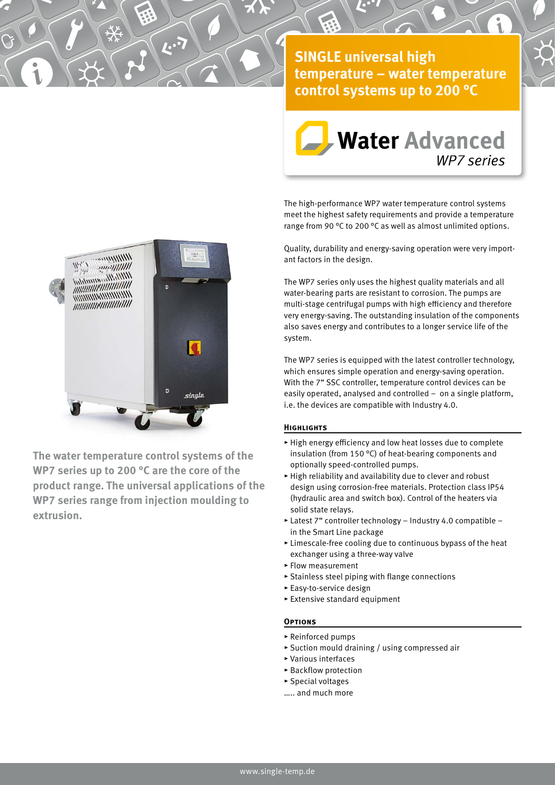**SINGLE universal high temp erature – water temperature control systems up to 200 °C**

*i*



The high-performance WP7 water temperature control systems meet the highest safety requirements and provide a temperature range from 90 °C to 200 °C as well as almost unlimited options.

Quality, durability and energy-saving operation were very important factors in the design.

The WP7 series only uses the highest quality materials and all water-bearing parts are resistant to corrosion. The pumps are multi-stage centrifugal pumps with high efficiency and therefore very energy-saving. The outstanding insulation of the components also saves energy and contributes to a longer service life of the system.

The WP7 series is equipped with the latest controller technology, which ensures simple operation and energy-saving operation. With the 7" SSC controller, temperature control devices can be easily operated, analysed and controlled – on a single platform, i.e. the devices are compatible with Industry 4.0.

## **Highlights**

- $\blacktriangleright$  High energy efficiency and low heat losses due to complete insulation (from 150 °C) of heat-bearing components and optionally speed-controlled pumps.
- ▸ High reliability and availability due to clever and robust design using corrosion-free materials. Protection class IP54 (hydraulic area and switch box). Control of the heaters via solid state relays.
- $\blacktriangleright$  Latest 7" controller technology Industry 4.0 compatible in the Smart Line package
- ▸ Limescale-free cooling due to continuous bypass of the heat exchanger using a three-way valve
- ▸ Flow measurement
- ▸ Stainless steel piping with flange connections
- ▸ Easy-to-service design
- ▸ Extensive standard equipment

## **Options**

- ▸ Reinforced pumps
- ▸ Suction mould draining / using compressed air
- ▸ Various interfaces
- ▸ Backflow protection
- ▸ Special voltages
- ….. and much more



 $\mathbf{r}$ 

*i*

**The water temperature control systems of the WP7 series up to 200 °C are the core of the product range. The universal applications of the WP7 series range from injection moulding to extrusion.**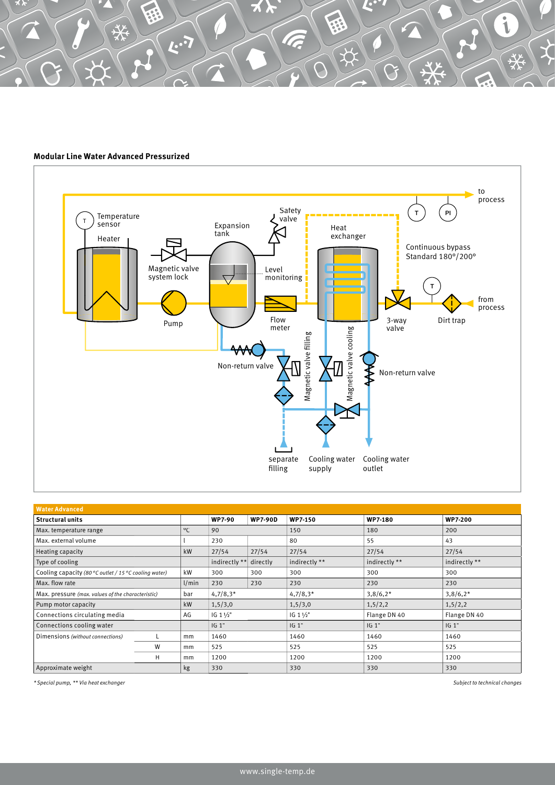## **Modular Line Water Advanced Pressurized**

 $\overline{\mathbf{r}^{\mathbf{.}}\mathbf{z}}$ 



| <b>Water Advanced</b>                                 |   |              |                   |                |                   |                |                |
|-------------------------------------------------------|---|--------------|-------------------|----------------|-------------------|----------------|----------------|
| <b>Structural units</b>                               |   |              | <b>WP7-90</b>     | <b>WP7-90D</b> | <b>WP7-150</b>    | <b>WP7-180</b> | <b>WP7-200</b> |
| Max. temperature range                                |   | $^{\circ}$ C | 90                |                | 150               | 180            | 200            |
| Max. external volume                                  |   |              | 230               |                | 80                | 55             | 43             |
| Heating capacity                                      |   | kW           | 27/54             | 27/54          | 27/54             | 27/54          | 27/54          |
| Type of cooling                                       |   |              | indirectly **     | directly       | indirectly **     | indirectly **  | indirectly **  |
| Cooling capacity (80 °C outlet / 15 °C cooling water) |   | kW           | 300               | 300            | 300               | 300            | 300            |
| Max. flow rate                                        |   | 1/min        | 230               | 230            | 230               | 230            | 230            |
| Max. pressure (max. values of the characteristic)     |   | bar          | $4,7/8,3*$        |                | $4,7/8,3*$        | $3,8/6,2*$     | $3,8/6,2*$     |
| Pump motor capacity                                   |   | kW           | 1,5/3,0           |                | 1,5/3,0           | 1,5/2,2        | 1,5/2,2        |
| Connections circulating media                         |   | AG           | $IG 1\frac{1}{2}$ |                | $IG 1\frac{1}{2}$ | Flange DN 40   | Flange DN 40   |
| Connections cooling water                             |   |              | IG 1"             |                | IG 1"             | IG 1"          | IG 1"          |
| Dimensions (without connections)                      |   | mm           | 1460              |                | 1460              | 1460           | 1460           |
|                                                       | W | mm           | 525               |                | 525               | 525            | 525            |
|                                                       | н | mm           | 1200              |                | 1200              | 1200           | 1200           |
| Approximate weight                                    |   | kg           | 330               |                | 330               | 330            | 330            |

\* Special pump, \*\* Via heat exchanger Subject to technical changes

*i*